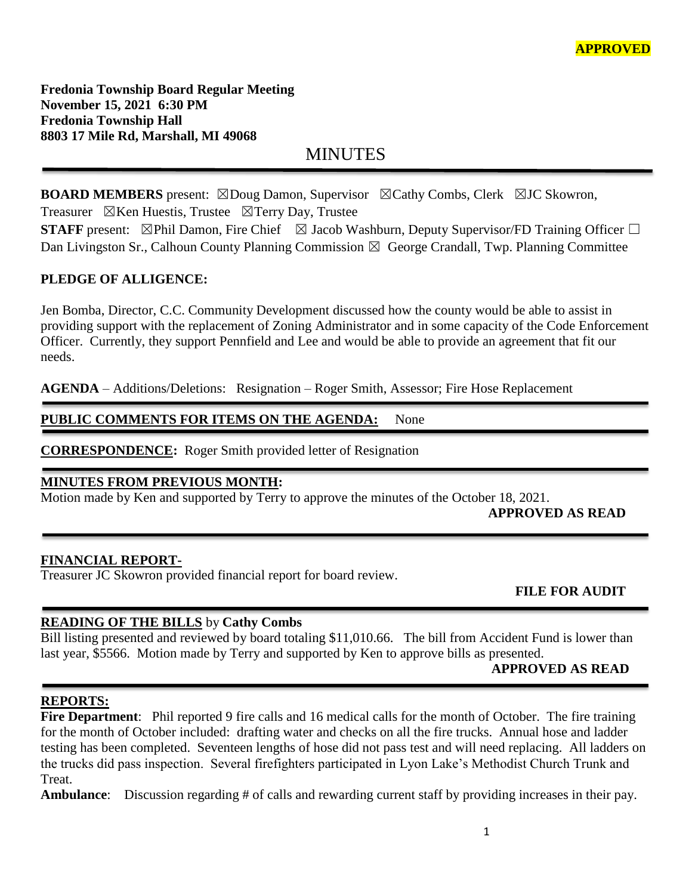**Fredonia Township Board Regular Meeting November 15, 2021 6:30 PM Fredonia Township Hall 8803 17 Mile Rd, Marshall, MI 49068**

MINUTES

**BOARD MEMBERS** present: ⊠Doug Damon, Supervisor ⊠Cathy Combs, Clerk ⊠JC Skowron, Treasurer  $\boxtimes$ Ken Huestis, Trustee  $\boxtimes$ Terry Day, Trustee

**STAFF** present: ⊠Phil Damon, Fire Chief ⊠ Jacob Washburn, Deputy Supervisor/FD Training Officer □ Dan Livingston Sr., Calhoun County Planning Commission  $\boxtimes$  George Crandall, Twp. Planning Committee

# **PLEDGE OF ALLIGENCE:**

Jen Bomba, Director, C.C. Community Development discussed how the county would be able to assist in providing support with the replacement of Zoning Administrator and in some capacity of the Code Enforcement Officer. Currently, they support Pennfield and Lee and would be able to provide an agreement that fit our needs.

**AGENDA** – Additions/Deletions: Resignation – Roger Smith, Assessor; Fire Hose Replacement

## PUBLIC COMMENTS FOR ITEMS ON THE AGENDA: None

**CORRESPONDENCE:** Roger Smith provided letter of Resignation

## **MINUTES FROM PREVIOUS MONTH:**

Motion made by Ken and supported by Terry to approve the minutes of the October 18, 2021.

֦

## **APPROVED AS READ**

#### **FINANCIAL REPORT-**

Treasurer JC Skowron provided financial report for board review.

 **FILE FOR AUDIT** 

# **READING OF THE BILLS** by **Cathy Combs**

Bill listing presented and reviewed by board totaling \$11,010.66. The bill from Accident Fund is lower than last year, \$5566. Motion made by Terry and supported by Ken to approve bills as presented.

## **APPROVED AS READ**

#### **REPORTS:**

**Fire Department**: Phil reported 9 fire calls and 16 medical calls for the month of October. The fire training for the month of October included: drafting water and checks on all the fire trucks. Annual hose and ladder testing has been completed. Seventeen lengths of hose did not pass test and will need replacing. All ladders on the trucks did pass inspection. Several firefighters participated in Lyon Lake's Methodist Church Trunk and Treat.

**Ambulance**: Discussion regarding # of calls and rewarding current staff by providing increases in their pay.